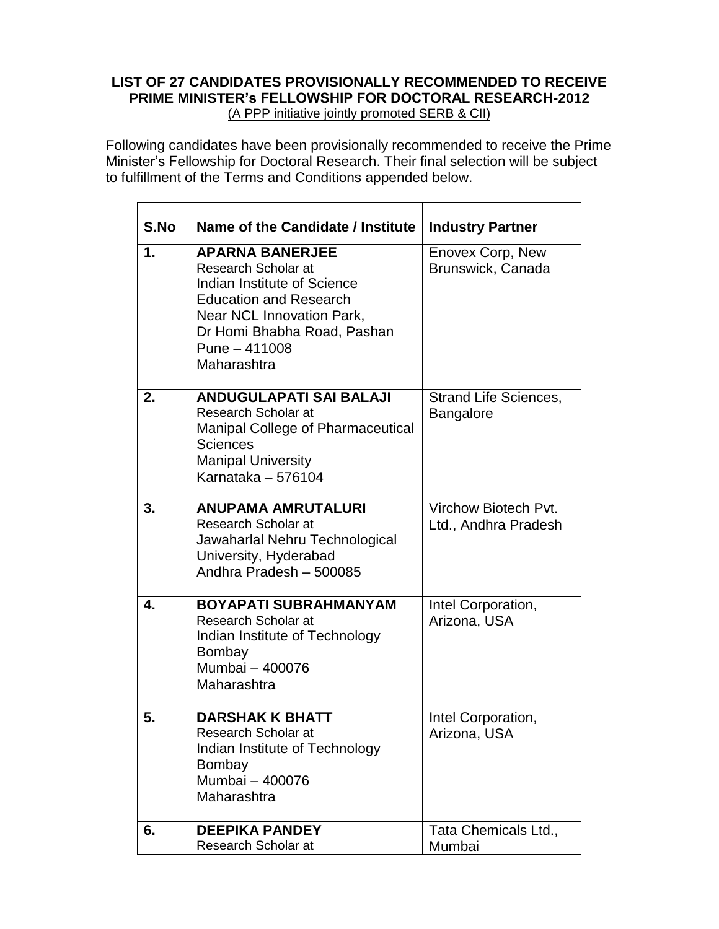## **LIST OF 27 CANDIDATES PROVISIONALLY RECOMMENDED TO RECEIVE PRIME MINISTER's FELLOWSHIP FOR DOCTORAL RESEARCH-2012** (A PPP initiative jointly promoted SERB & CII)

Following candidates have been provisionally recommended to receive the Prime Minister's Fellowship for Doctoral Research. Their final selection will be subject to fulfillment of the Terms and Conditions appended below.

| S.No | Name of the Candidate / Institute                                                                                                                                                                         | <b>Industry Partner</b>                          |
|------|-----------------------------------------------------------------------------------------------------------------------------------------------------------------------------------------------------------|--------------------------------------------------|
| 1.   | <b>APARNA BANERJEE</b><br>Research Scholar at<br>Indian Institute of Science<br><b>Education and Research</b><br>Near NCL Innovation Park,<br>Dr Homi Bhabha Road, Pashan<br>Pune - 411008<br>Maharashtra | Enovex Corp, New<br>Brunswick, Canada            |
| 2.   | <b>ANDUGULAPATI SAI BALAJI</b><br>Research Scholar at<br><b>Manipal College of Pharmaceutical</b><br><b>Sciences</b><br><b>Manipal University</b><br>Karnataka - 576104                                   | <b>Strand Life Sciences,</b><br><b>Bangalore</b> |
| 3.   | <b>ANUPAMA AMRUTALURI</b><br>Research Scholar at<br>Jawaharlal Nehru Technological<br>University, Hyderabad<br>Andhra Pradesh - 500085                                                                    | Virchow Biotech Pvt.<br>Ltd., Andhra Pradesh     |
| 4.   | <b>BOYAPATI SUBRAHMANYAM</b><br>Research Scholar at<br>Indian Institute of Technology<br>Bombay<br>Mumbai - 400076<br>Maharashtra                                                                         | Intel Corporation,<br>Arizona, USA               |
| 5.   | <b>DARSHAK K BHATT</b><br>Research Scholar at<br>Indian Institute of Technology<br>Bombay<br>Mumbai - 400076<br>Maharashtra                                                                               | Intel Corporation,<br>Arizona, USA               |
| 6.   | <b>DEEPIKA PANDEY</b><br>Research Scholar at                                                                                                                                                              | Tata Chemicals Ltd.,<br>Mumbai                   |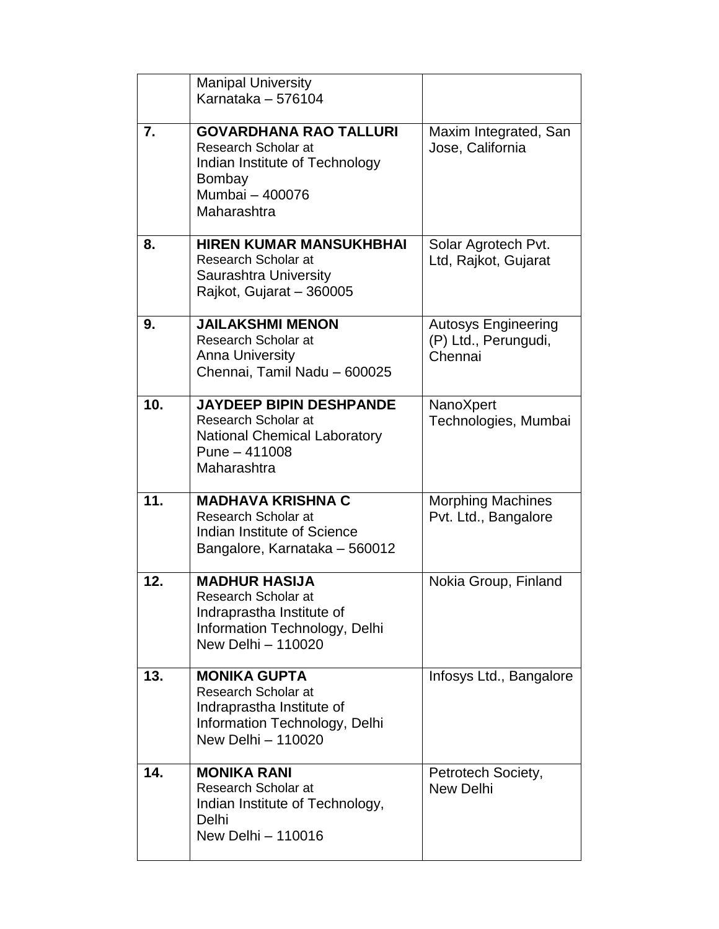|                   | <b>Manipal University</b><br>Karnataka - 576104                                                                                    |                                                               |
|-------------------|------------------------------------------------------------------------------------------------------------------------------------|---------------------------------------------------------------|
| 7.                | <b>GOVARDHANA RAO TALLURI</b><br>Research Scholar at<br>Indian Institute of Technology<br>Bombay<br>Mumbai - 400076<br>Maharashtra | Maxim Integrated, San<br>Jose, California                     |
| 8.                | <b>HIREN KUMAR MANSUKHBHAI</b><br>Research Scholar at<br>Saurashtra University<br>Rajkot, Gujarat - 360005                         | Solar Agrotech Pvt.<br>Ltd, Rajkot, Gujarat                   |
| 9.                | <b>JAILAKSHMI MENON</b><br>Research Scholar at<br><b>Anna University</b><br>Chennai, Tamil Nadu - 600025                           | <b>Autosys Engineering</b><br>(P) Ltd., Perungudi,<br>Chennai |
| 10.               | <b>JAYDEEP BIPIN DESHPANDE</b><br>Research Scholar at<br><b>National Chemical Laboratory</b><br>Pune - 411008<br>Maharashtra       | NanoXpert<br>Technologies, Mumbai                             |
| $\overline{11}$ . | <b>MADHAVA KRISHNA C</b><br>Research Scholar at<br>Indian Institute of Science<br>Bangalore, Karnataka - 560012                    | <b>Morphing Machines</b><br>Pvt. Ltd., Bangalore              |
| 12.               | <b>MADHUR HASIJA</b><br>Research Scholar at<br>Indraprastha Institute of<br>Information Technology, Delhi<br>New Delhi - 110020    | Nokia Group, Finland                                          |
| 13.               | <b>MONIKA GUPTA</b><br>Research Scholar at<br>Indraprastha Institute of<br>Information Technology, Delhi<br>New Delhi - 110020     | Infosys Ltd., Bangalore                                       |
| 14.               | <b>MONIKA RANI</b><br>Research Scholar at<br>Indian Institute of Technology,<br>Delhi<br>New Delhi - 110016                        | Petrotech Society,<br><b>New Delhi</b>                        |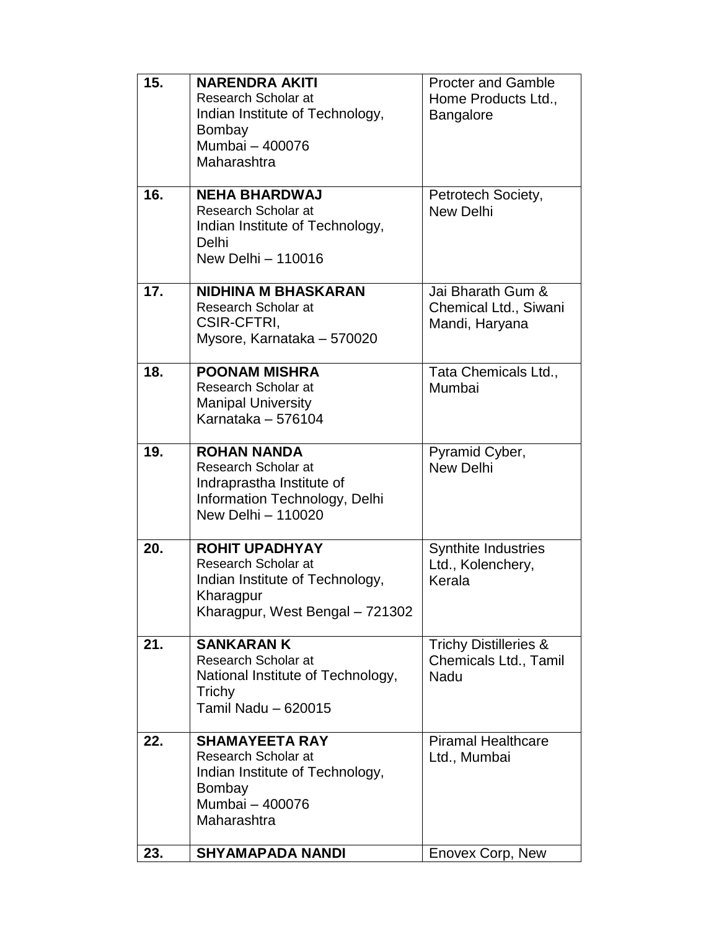| 15. | <b>NARENDRA AKITI</b><br>Research Scholar at<br>Indian Institute of Technology,<br>Bombay<br>Mumbai - 400076                    | <b>Procter and Gamble</b><br>Home Products Ltd.,<br><b>Bangalore</b> |
|-----|---------------------------------------------------------------------------------------------------------------------------------|----------------------------------------------------------------------|
| 16. | Maharashtra<br><b>NEHA BHARDWAJ</b><br>Research Scholar at<br>Indian Institute of Technology,<br>Delhi<br>New Delhi - 110016    | Petrotech Society,<br><b>New Delhi</b>                               |
| 17. | <b>NIDHINA M BHASKARAN</b><br>Research Scholar at<br><b>CSIR-CFTRI,</b><br>Mysore, Karnataka - 570020                           | Jai Bharath Gum &<br>Chemical Ltd., Siwani<br>Mandi, Haryana         |
| 18. | <b>POONAM MISHRA</b><br>Research Scholar at<br><b>Manipal University</b><br>Karnataka - 576104                                  | Tata Chemicals Ltd.,<br>Mumbai                                       |
| 19. | <b>ROHAN NANDA</b><br>Research Scholar at<br>Indraprastha Institute of<br>Information Technology, Delhi<br>New Delhi - 110020   | Pyramid Cyber,<br><b>New Delhi</b>                                   |
| 20. | <b>ROHIT UPADHYAY</b><br>Research Scholar at<br>Indian Institute of Technology,<br>Kharagpur<br>Kharagpur, West Bengal - 721302 | <b>Synthite Industries</b><br>Ltd., Kolenchery,<br>Kerala            |
| 21. | <b>SANKARAN K</b><br>Research Scholar at<br>National Institute of Technology,<br>Trichy<br>Tamil Nadu - 620015                  | <b>Trichy Distilleries &amp;</b><br>Chemicals Ltd., Tamil<br>Nadu    |
| 22. | <b>SHAMAYEETA RAY</b><br>Research Scholar at<br>Indian Institute of Technology,<br>Bombay<br>Mumbai - 400076<br>Maharashtra     | <b>Piramal Healthcare</b><br>Ltd., Mumbai                            |
| 23. | <b>SHYAMAPADA NANDI</b>                                                                                                         | Enovex Corp, New                                                     |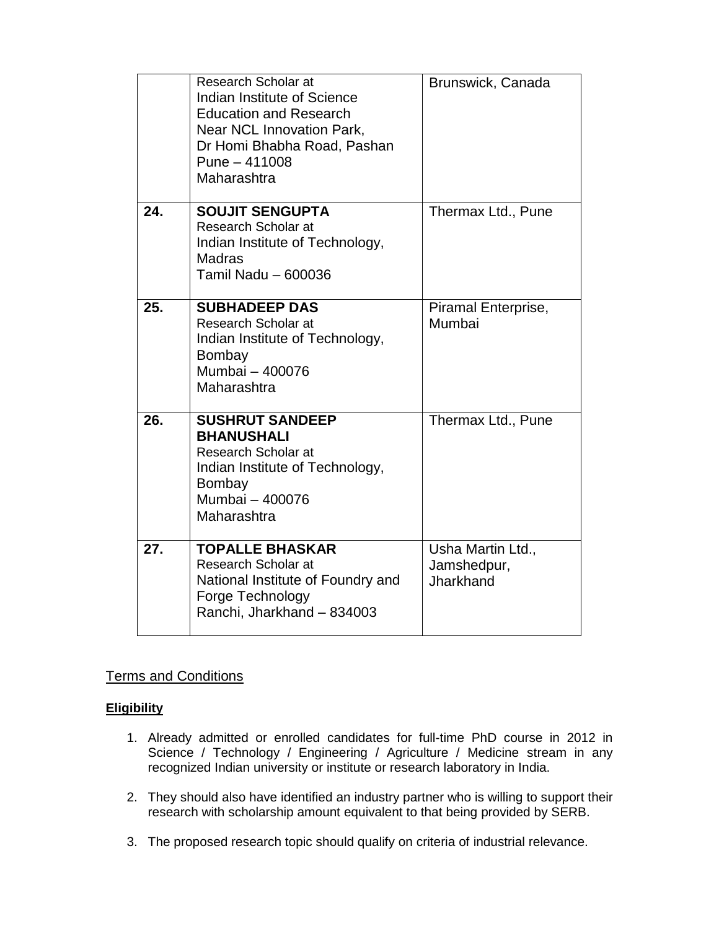|     | Research Scholar at<br>Indian Institute of Science<br><b>Education and Research</b><br>Near NCL Innovation Park,<br>Dr Homi Bhabha Road, Pashan<br>Pune - 411008<br>Maharashtra | Brunswick, Canada                             |
|-----|---------------------------------------------------------------------------------------------------------------------------------------------------------------------------------|-----------------------------------------------|
| 24. | <b>SOUJIT SENGUPTA</b><br>Research Scholar at<br>Indian Institute of Technology,<br><b>Madras</b><br>Tamil Nadu - 600036                                                        | Thermax Ltd., Pune                            |
| 25. | <b>SUBHADEEP DAS</b><br>Research Scholar at<br>Indian Institute of Technology,<br>Bombay<br>Mumbai - 400076<br>Maharashtra                                                      | Piramal Enterprise,<br>Mumbai                 |
| 26. | <b>SUSHRUT SANDEEP</b><br><b>BHANUSHALI</b><br>Research Scholar at<br>Indian Institute of Technology,<br>Bombay<br>Mumbai - 400076<br>Maharashtra                               | Thermax Ltd., Pune                            |
| 27. | <b>TOPALLE BHASKAR</b><br>Research Scholar at<br>National Institute of Foundry and<br>Forge Technology<br>Ranchi, Jharkhand - 834003                                            | Usha Martin Ltd.,<br>Jamshedpur,<br>Jharkhand |

# Terms and Conditions

## **Eligibility**

- 1. Already admitted or enrolled candidates for full-time PhD course in 2012 in Science / Technology / Engineering / Agriculture / Medicine stream in any recognized Indian university or institute or research laboratory in India.
- 2. They should also have identified an industry partner who is willing to support their research with scholarship amount equivalent to that being provided by SERB.
- 3. The proposed research topic should qualify on criteria of industrial relevance.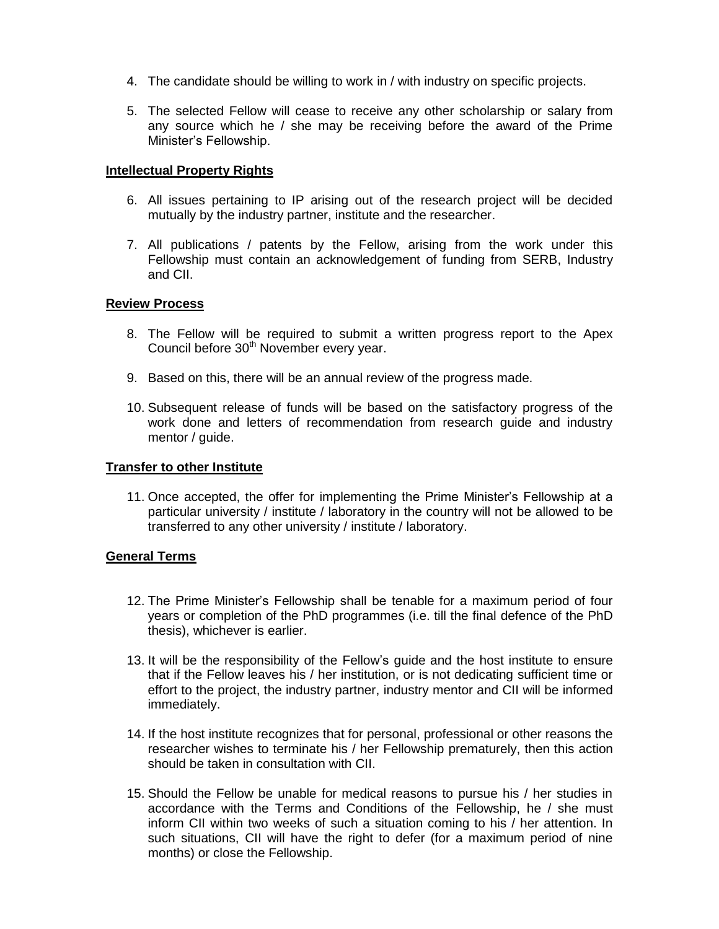- 4. The candidate should be willing to work in / with industry on specific projects.
- 5. The selected Fellow will cease to receive any other scholarship or salary from any source which he / she may be receiving before the award of the Prime Minister's Fellowship.

### **Intellectual Property Rights**

- 6. All issues pertaining to IP arising out of the research project will be decided mutually by the industry partner, institute and the researcher.
- 7. All publications / patents by the Fellow, arising from the work under this Fellowship must contain an acknowledgement of funding from SERB, Industry and CII.

#### **Review Process**

- 8. The Fellow will be required to submit a written progress report to the Apex Council before 30<sup>th</sup> November every year.
- 9. Based on this, there will be an annual review of the progress made.
- 10. Subsequent release of funds will be based on the satisfactory progress of the work done and letters of recommendation from research guide and industry mentor / guide.

### **Transfer to other Institute**

11. Once accepted, the offer for implementing the Prime Minister's Fellowship at a particular university / institute / laboratory in the country will not be allowed to be transferred to any other university / institute / laboratory.

#### **General Terms**

- 12. The Prime Minister's Fellowship shall be tenable for a maximum period of four years or completion of the PhD programmes (i.e. till the final defence of the PhD thesis), whichever is earlier.
- 13. It will be the responsibility of the Fellow's guide and the host institute to ensure that if the Fellow leaves his / her institution, or is not dedicating sufficient time or effort to the project, the industry partner, industry mentor and CII will be informed immediately.
- 14. If the host institute recognizes that for personal, professional or other reasons the researcher wishes to terminate his / her Fellowship prematurely, then this action should be taken in consultation with CII.
- 15. Should the Fellow be unable for medical reasons to pursue his / her studies in accordance with the Terms and Conditions of the Fellowship, he / she must inform CII within two weeks of such a situation coming to his / her attention. In such situations, CII will have the right to defer (for a maximum period of nine months) or close the Fellowship.